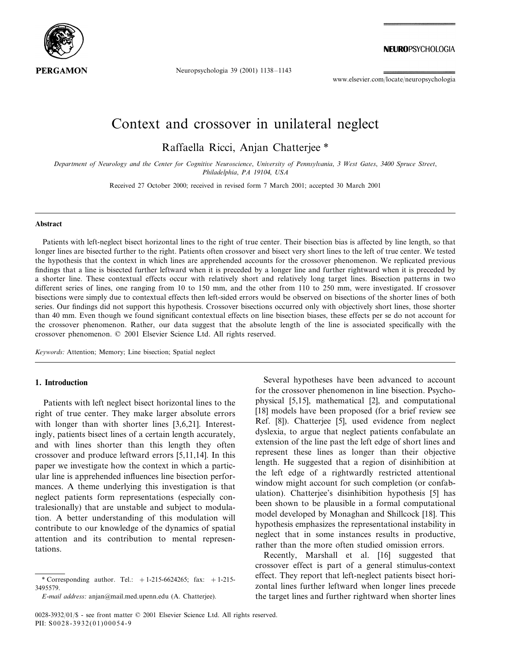

Neuropsychologia 39 (2001) 1138–1143

www.elsevier.com/locate/neuropsychologia

# Context and crossover in unilateral neglect

Raffaella Ricci, Anjan Chatterjee \*

*Department of Neurology and the Center for Cognitie Neuroscience*, *Uniersity of Pennsylania*, <sup>3</sup> *West Gates*, <sup>3400</sup> *Spruce Street*, *Philadelphia*, *PA* 19104, *USA*

Received 27 October 2000; received in revised form 7 March 2001; accepted 30 March 2001

#### **Abstract**

Patients with left-neglect bisect horizontal lines to the right of true center. Their bisection bias is affected by line length, so that longer lines are bisected further to the right. Patients often crossover and bisect very short lines to the left of true center. We tested the hypothesis that the context in which lines are apprehended accounts for the crossover phenomenon. We replicated previous findings that a line is bisected further leftward when it is preceded by a longer line and further rightward when it is preceded by a shorter line. These contextual effects occur with relatively short and relatively long target lines. Bisection patterns in two different series of lines, one ranging from 10 to 150 mm, and the other from 110 to 250 mm, were investigated. If crossover bisections were simply due to contextual effects then left-sided errors would be observed on bisections of the shorter lines of both series. Our findings did not support this hypothesis. Crossover bisections occurred only with objectively short lines, those shorter than 40 mm. Even though we found significant contextual effects on line bisection biases, these effects per se do not account for the crossover phenomenon. Rather, our data suggest that the absolute length of the line is associated specifically with the crossover phenomenon. © 2001 Elsevier Science Ltd. All rights reserved.

*Keywords*: Attention; Memory; Line bisection; Spatial neglect

#### **1. Introduction**

Patients with left neglect bisect horizontal lines to the right of true center. They make larger absolute errors with longer than with shorter lines [3,6,21]. Interestingly, patients bisect lines of a certain length accurately, and with lines shorter than this length they often crossover and produce leftward errors [5,11,14]. In this paper we investigate how the context in which a particular line is apprehended influences line bisection performances. A theme underlying this investigation is that neglect patients form representations (especially contralesionally) that are unstable and subject to modulation. A better understanding of this modulation will contribute to our knowledge of the dynamics of spatial attention and its contribution to mental representations.

Several hypotheses have been advanced to account for the crossover phenomenon in line bisection. Psychophysical [5,15], mathematical [2], and computational [18] models have been proposed (for a brief review see Ref. [8]). Chatterjee [5], used evidence from neglect dyslexia, to argue that neglect patients confabulate an extension of the line past the left edge of short lines and represent these lines as longer than their objective length. He suggested that a region of disinhibition at the left edge of a rightwardly restricted attentional window might account for such completion (or confabulation). Chatterjee's disinhibition hypothesis [5] has been shown to be plausible in a formal computational model developed by Monaghan and Shillcock [18]. This hypothesis emphasizes the representational instability in neglect that in some instances results in productive, rather than the more often studied omission errors.

Recently, Marshall et al. [16] suggested that crossover effect is part of a general stimulus-context effect. They report that left-neglect patients bisect horizontal lines further leftward when longer lines precede the target lines and further rightward when shorter lines

<sup>\*</sup> Corresponding author. Tel.:  $+1-215-6624265$ ; fax:  $+1-215-$ 3495579.

*E*-*mail address*: anjan@mail.med.upenn.edu (A. Chatterjee).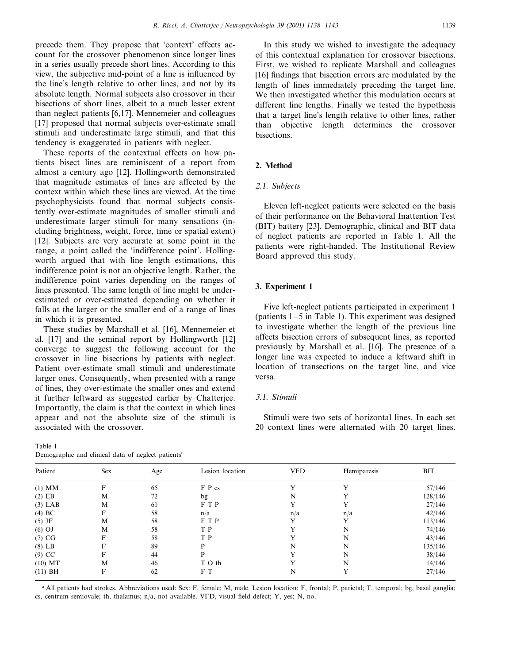precede them. They propose that 'context' effects account for the crossover phenomenon since longer lines in a series usually precede short lines. According to this view, the subjective mid-point of a line is influenced by the line's length relative to other lines, and not by its absolute length. Normal subjects also crossover in their bisections of short lines, albeit to a much lesser extent than neglect patients [6,17]. Mennemeier and colleagues [17] proposed that normal subjects over-estimate small stimuli and underestimate large stimuli, and that this tendency is exaggerated in patients with neglect.

These reports of the contextual effects on how patients bisect lines are reminiscent of a report from almost a century ago [12]. Hollingworth demonstrated that magnitude estimates of lines are affected by the context within which these lines are viewed. At the time psychophysicists found that normal subjects consistently over-estimate magnitudes of smaller stimuli and underestimate larger stimuli for many sensations (including brightness, weight, force, time or spatial extent) [12]. Subjects are very accurate at some point in the range, a point called the 'indifference point'. Hollingworth argued that with line length estimations, this indifference point is not an objective length. Rather, the indifference point varies depending on the ranges of lines presented. The same length of line might be underestimated or over-estimated depending on whether it falls at the larger or the smaller end of a range of lines in which it is presented.

These studies by Marshall et al. [16], Mennemeier et al. [17] and the seminal report by Hollingworth [12] converge to suggest the following account for the crossover in line bisections by patients with neglect. Patient over-estimate small stimuli and underestimate larger ones. Consequently, when presented with a range of lines, they over-estimate the smaller ones and extend it further leftward as suggested earlier by Chatterjee. Importantly, the claim is that the context in which lines appear and not the absolute size of the stimuli is associated with the crossover.

Table 1 Demographic and clinical data of neglect patients<sup>a</sup>

In this study we wished to investigate the adequacy of this contextual explanation for crossover bisections. First, we wished to replicate Marshall and colleagues [16] findings that bisection errors are modulated by the length of lines immediately preceding the target line. We then investigated whether this modulation occurs at different line lengths. Finally we tested the hypothesis that a target line's length relative to other lines, rather than objective length determines the crossover bisections.

# **2. Method**

#### <sup>2</sup>.1. *Subjects*

Eleven left-neglect patients were selected on the basis of their performance on the Behavioral Inattention Test (BIT) battery [23]. Demographic, clinical and BIT data of neglect patients are reported in Table 1. All the patients were right-handed. The Institutional Review Board approved this study.

#### **3. Experiment 1**

Five left-neglect patients participated in experiment 1 (patients 1–5 in Table 1). This experiment was designed to investigate whether the length of the previous line affects bisection errors of subsequent lines, as reported previously by Marshall et al. [16]. The presence of a longer line was expected to induce a leftward shift in location of transections on the target line, and vice versa.

# 3.1. *Stimuli*

Stimuli were two sets of horizontal lines. In each set 20 context lines were alternated with 20 target lines.

| ັ້<br>$\tilde{}$<br>$\overline{\phantom{a}}$ |     |     |                 |            |             |            |
|----------------------------------------------|-----|-----|-----------------|------------|-------------|------------|
| Patient                                      | Sex | Age | Lesion location | <b>VFD</b> | Hemiparesis | <b>BIT</b> |
| $(1)$ MM                                     | F   | 65  | F P cs          |            |             | 57/146     |
| $(2)$ EB                                     | M   | 72  | bg              | N          |             | 128/146    |
| $(3)$ LAB                                    | M   | 61  | F T P           |            |             | 27/146     |
| $(4)$ BC                                     | F   | 58  | n/a             | n/a        | n/a         | 42/146     |
| $(5)$ JF                                     | M   | 58  | FTP             |            |             | 113/146    |
| $(6)$ OJ                                     | M   | 58  | T P             |            | N           | 74/146     |
| (7) CG                                       | F   | 58  | T P             |            | N           | 43/146     |
| $(8)$ LB                                     | F   | 89  | P               | N          | N           | 135/146    |
| $(9)$ CC                                     |     | 44  | D               |            | N           | 38/146     |
| $(10)$ MT                                    | М   | 46  | T O th          |            | N           | 14/146     |
| $(11)$ BH                                    | F   | 62  | F T             | N          |             | 27/146     |
|                                              |     |     |                 |            |             |            |

<sup>a</sup> All patients had strokes. Abbreviations used: Sex: F, female; M, male. Lesion location: F, frontal; P, parietal; T, temporal; bg, basal ganglia; cs, centrum semiovale; th, thalamus; n/a, not available. VFD, visual field defect; Y, yes; N, no.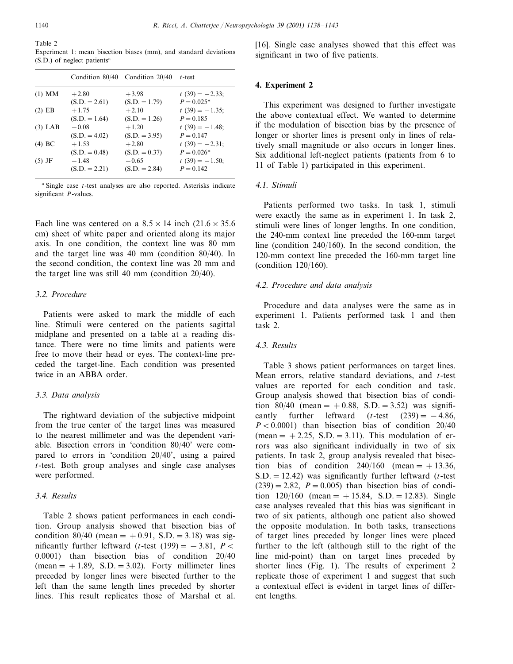Table 2

Experiment 1: mean bisection biases (mm), and standard deviations  $(S.D.)$  of neglect patients<sup>a</sup>

|           |                 | Condition 80/40 Condition 20/40 | $t$ -test         |
|-----------|-----------------|---------------------------------|-------------------|
| $(1)$ MM  | $+2.80$         | $+3.98$                         | $t(39) = -2.33;$  |
|           | $(S.D. = 2.61)$ | $(S.D. = 1.79)$                 | $P = 0.025*$      |
| $(2)$ EB  | $+1.75$         | $+2.10$                         | $t(39) = -1.35;$  |
|           | $(S.D. = 1.64)$ | $(S.D. = 1.26)$                 | $P = 0.185$       |
| $(3)$ LAB | $-0.08$         | $+1.20$                         | $t(39) = -1.48$ ; |
|           | $(S.D. = 4.02)$ | $(S.D. = 3.95)$                 | $P = 0.147$       |
| $(4)$ BC  | $+1.53$         | $+2.80$                         | $t(39) = -2.31$ ; |
|           | $(S.D. = 0.48)$ | $(S.D. = 0.37)$                 | $P = 0.026*$      |
| $(5)$ JF  | $-1.48$         | $-0.65$                         | $t(39) = -1.50;$  |
|           | $(S.D. = 2.21)$ | $(S.D. = 2.84)$                 | $P = 0.142$       |

<sup>a</sup> Single case *t*-test analyses are also reported. Asterisks indicate significant *P*-values.

Each line was centered on a  $8.5 \times 14$  inch  $(21.6 \times 35.6)$ cm) sheet of white paper and oriented along its major axis. In one condition, the context line was 80 mm and the target line was 40 mm (condition 80/40). In the second condition, the context line was 20 mm and the target line was still 40 mm (condition 20/40).

# 3.2. *Procedure*

Patients were asked to mark the middle of each line. Stimuli were centered on the patients sagittal midplane and presented on a table at a reading distance. There were no time limits and patients were free to move their head or eyes. The context-line preceded the target-line. Each condition was presented twice in an ABBA order.

#### 3.3. *Data analysis*

The rightward deviation of the subjective midpoint from the true center of the target lines was measured to the nearest millimeter and was the dependent variable. Bisection errors in 'condition 80/40' were compared to errors in 'condition 20/40', using a paired *t*-test. Both group analyses and single case analyses were performed.

### 3.4. *Results*

Table 2 shows patient performances in each condition. Group analysis showed that bisection bias of condition  $80/40$  (mean = +0.91, S.D. = 3.18) was significantly further leftward (*t*-test (199) =  $-3.81$ , *P* < 0.0001) than bisection bias of condition 20/40  $(mean = +1.89, S.D. = 3.02)$ . Forty millimeter lines preceded by longer lines were bisected further to the left than the same length lines preceded by shorter lines. This result replicates those of Marshal et al.

[16]. Single case analyses showed that this effect was significant in two of five patients.

## **4. Experiment 2**

This experiment was designed to further investigate the above contextual effect. We wanted to determine if the modulation of bisection bias by the presence of longer or shorter lines is present only in lines of relatively small magnitude or also occurs in longer lines. Six additional left-neglect patients (patients from 6 to 11 of Table 1) participated in this experiment.

# <sup>4</sup>.1. *Stimuli*

Patients performed two tasks. In task 1, stimuli were exactly the same as in experiment 1. In task 2, stimuli were lines of longer lengths. In one condition, the 240-mm context line preceded the 160-mm target line (condition 240/160). In the second condition, the 120-mm context line preceded the 160-mm target line (condition 120/160).

# <sup>4</sup>.2. *Procedure and data analysis*

Procedure and data analyses were the same as in experiment 1. Patients performed task 1 and then task 2.

# <sup>4</sup>.3. *Results*

Table 3 shows patient performances on target lines. Mean errors, relative standard deviations, and *t*-test values are reported for each condition and task. Group analysis showed that bisection bias of condition  $80/40$  (mean =  $+0.88$ , S.D. = 3.52) was significantly further leftward  $(t$ -test  $(239) = -4.86$ ,  $P < 0.0001$ ) than bisection bias of condition 20/40 (mean  $= +2.25$ , S.D.  $= 3.11$ ). This modulation of errors was also significant individually in two of six patients. In task 2, group analysis revealed that bisection bias of condition  $240/160$  (mean =  $+13.36$ ,  $S.D. = 12.42$ ) was significantly further leftward (*t*-test  $(239) = 2.82$ ,  $P = 0.005$ ) than bisection bias of condition  $120/160$  (mean =  $+15.84$ , S.D. = 12.83). Single case analyses revealed that this bias was significant in two of six patients, although one patient also showed the opposite modulation. In both tasks, transections of target lines preceded by longer lines were placed further to the left (although still to the right of the line mid-point) than on target lines preceded by shorter lines (Fig. 1). The results of experiment 2 replicate those of experiment 1 and suggest that such a contextual effect is evident in target lines of different lengths.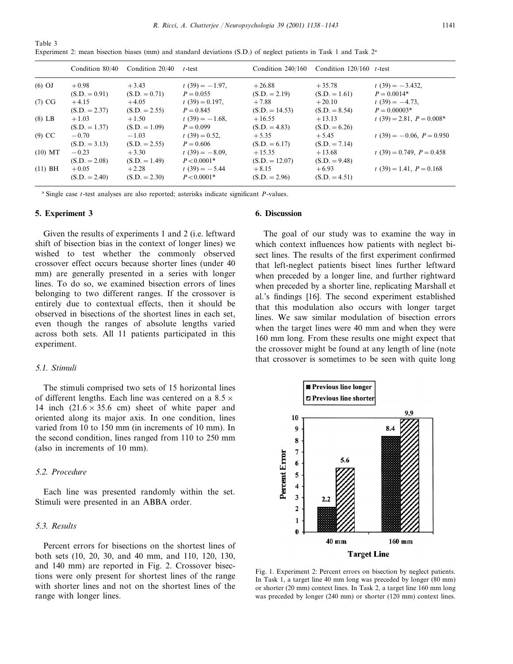*R*. *Ricci*, *A*. *Chatterjee* / *Neuropsychologia* 39 (2001) 1138–1143 1141

| Table 3                                                                                                             |  |  |  |  |  |  |
|---------------------------------------------------------------------------------------------------------------------|--|--|--|--|--|--|
| Experiment 2: mean bisection biases (mm) and standard deviations (S.D.) of neglect patients in Task 1 and Task $2a$ |  |  |  |  |  |  |

|           |                            | Condition $80/40$ Condition $20/40$ | $t$ -test                          | Condition $240/160$          | Condition $120/160$ t-test  |                                     |
|-----------|----------------------------|-------------------------------------|------------------------------------|------------------------------|-----------------------------|-------------------------------------|
| $(6)$ OJ  | $+0.98$<br>$(S.D. = 0.91)$ | $+3.43$<br>$(S.D. = 0.71)$          | $t(39) = -1.97$ ,<br>$P = 0.055$   | $+26.88$<br>$(S.D. = 2.19)$  | $+35.78$<br>$(S.D. = 1.61)$ | $t(39) = -3.432$ ,<br>$P = 0.0014*$ |
| (7) CG    | $+4.15$<br>$(S.D. = 2.37)$ | $+4.05$<br>$(S.D. = 2.55)$          | $t(39) = 0.197$ ,<br>$P = 0.845$   | $+7.88$<br>$(S.D. = 14.53)$  | $+20.10$<br>$(S.D. = 8.54)$ | $t(39) = -4.73$ ,<br>$P = 0.00003*$ |
| $(8)$ LB  | $+1.03$<br>$(S.D. = 1.37)$ | $+1.50$<br>$(S.D. = 1.09)$          | $t(39) = -1.68$ ,<br>$P = 0.099$   | $+16.55$<br>$(S.D. = 4.83)$  | $+13.13$<br>$(S.D. = 6.26)$ | $t(39) = 2.81, P = 0.008*$          |
| $(9)$ CC  | $-0.70$<br>$(S.D. = 3.13)$ | $-1.03$<br>$(S.D. = 2.55)$          | $t(39) = 0.52$<br>$P = 0.606$      | $+5.35$<br>$(S.D. = 6.17)$   | $+5.45$<br>$(S.D. = 7.14)$  | $t(39) = -0.06$ , $P = 0.950$       |
| $(10)$ MT | $-0.23$<br>$(S.D. = 2.08)$ | $+3.30$<br>$(S.D. = 1.49)$          | $t(39) = -8.09$ ,<br>$P < 0.0001*$ | $+15.35$<br>$(S.D. = 12.07)$ | $+13.68$<br>$(S.D. = 9.48)$ | $t(39) = 0.749$ , $P = 0.458$       |
| $(11)$ BH | $+0.05$<br>$(S.D. = 2.40)$ | $+2.28$<br>$(S.D. = 2.30)$          | $t(39) = -5.44$<br>$P < 0.0001*$   | $+8.15$<br>$(S.D. = 2.96)$   | $+6.93$<br>$(S.D. = 4.51)$  | $t(39) = 1.41, P = 0.168$           |

<sup>a</sup> Single case *t*-test analyses are also reported; asterisks indicate significant *P*-values.

## **5. Experiment 3**

Given the results of experiments 1 and 2 (i.e. leftward shift of bisection bias in the context of longer lines) we wished to test whether the commonly observed crossover effect occurs because shorter lines (under 40 mm) are generally presented in a series with longer lines. To do so, we examined bisection errors of lines belonging to two different ranges. If the crossover is entirely due to contextual effects, then it should be observed in bisections of the shortest lines in each set, even though the ranges of absolute lengths varied across both sets. All 11 patients participated in this experiment.

# <sup>5</sup>.1. *Stimuli*

The stimuli comprised two sets of 15 horizontal lines of different lengths. Each line was centered on a  $8.5 \times$ 14 inch  $(21.6 \times 35.6$  cm) sheet of white paper and oriented along its major axis. In one condition, lines varied from 10 to 150 mm (in increments of 10 mm). In the second condition, lines ranged from 110 to 250 mm (also in increments of 10 mm).

# <sup>5</sup>.2. *Procedure*

Each line was presented randomly within the set. Stimuli were presented in an ABBA order.

# <sup>5</sup>.3. *Results*

Percent errors for bisections on the shortest lines of both sets (10, 20, 30, and 40 mm, and 110, 120, 130, and 140 mm) are reported in Fig. 2. Crossover bisections were only present for shortest lines of the range with shorter lines and not on the shortest lines of the range with longer lines.

#### **6. Discussion**

The goal of our study was to examine the way in which context influences how patients with neglect bisect lines. The results of the first experiment confirmed that left-neglect patients bisect lines further leftward when preceded by a longer line, and further rightward when preceded by a shorter line, replicating Marshall et al.'s findings [16]. The second experiment established that this modulation also occurs with longer target lines. We saw similar modulation of bisection errors when the target lines were 40 mm and when they were 160 mm long. From these results one might expect that the crossover might be found at any length of line (note that crossover is sometimes to be seen with quite long



Fig. 1. Experiment 2: Percent errors on bisection by neglect patients. In Task 1, a target line 40 mm long was preceded by longer (80 mm) or shorter (20 mm) context lines. In Task 2, a target line 160 mm long was preceded by longer (240 mm) or shorter (120 mm) context lines.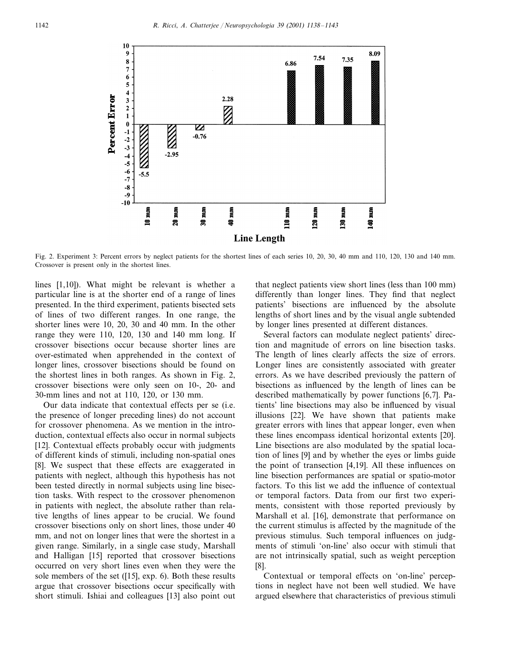

Fig. 2. Experiment 3: Percent errors by neglect patients for the shortest lines of each series 10, 20, 30, 40 mm and 110, 120, 130 and 140 mm. Crossover is present only in the shortest lines.

lines [1,10]). What might be relevant is whether a particular line is at the shorter end of a range of lines presented. In the third experiment, patients bisected sets of lines of two different ranges. In one range, the shorter lines were 10, 20, 30 and 40 mm. In the other range they were 110, 120, 130 and 140 mm long. If crossover bisections occur because shorter lines are over-estimated when apprehended in the context of longer lines, crossover bisections should be found on the shortest lines in both ranges. As shown in Fig. 2, crossover bisections were only seen on 10-, 20- and 30-mm lines and not at 110, 120, or 130 mm.

Our data indicate that contextual effects per se (i.e. the presence of longer preceding lines) do not account for crossover phenomena. As we mention in the introduction, contextual effects also occur in normal subjects [12]. Contextual effects probably occur with judgments of different kinds of stimuli, including non-spatial ones [8]. We suspect that these effects are exaggerated in patients with neglect, although this hypothesis has not been tested directly in normal subjects using line bisection tasks. With respect to the crossover phenomenon in patients with neglect, the absolute rather than relative lengths of lines appear to be crucial. We found crossover bisections only on short lines, those under 40 mm, and not on longer lines that were the shortest in a given range. Similarly, in a single case study, Marshall and Halligan [15] reported that crossover bisections occurred on very short lines even when they were the sole members of the set ([15], exp. 6). Both these results argue that crossover bisections occur specifically with short stimuli. Ishiai and colleagues [13] also point out

that neglect patients view short lines (less than 100 mm) differently than longer lines. They find that neglect patients' bisections are influenced by the absolute lengths of short lines and by the visual angle subtended by longer lines presented at different distances.

Several factors can modulate neglect patients' direction and magnitude of errors on line bisection tasks. The length of lines clearly affects the size of errors. Longer lines are consistently associated with greater errors. As we have described previously the pattern of bisections as influenced by the length of lines can be described mathematically by power functions [6,7]. Patients' line bisections may also be influenced by visual illusions [22]. We have shown that patients make greater errors with lines that appear longer, even when these lines encompass identical horizontal extents [20]. Line bisections are also modulated by the spatial location of lines [9] and by whether the eyes or limbs guide the point of transection [4,19]. All these influences on line bisection performances are spatial or spatio-motor factors. To this list we add the influence of contextual or temporal factors. Data from our first two experiments, consistent with those reported previously by Marshall et al. [16], demonstrate that performance on the current stimulus is affected by the magnitude of the previous stimulus. Such temporal influences on judgments of stimuli 'on-line' also occur with stimuli that are not intrinsically spatial, such as weight perception [8].

Contextual or temporal effects on 'on-line' perceptions in neglect have not been well studied. We have argued elsewhere that characteristics of previous stimuli